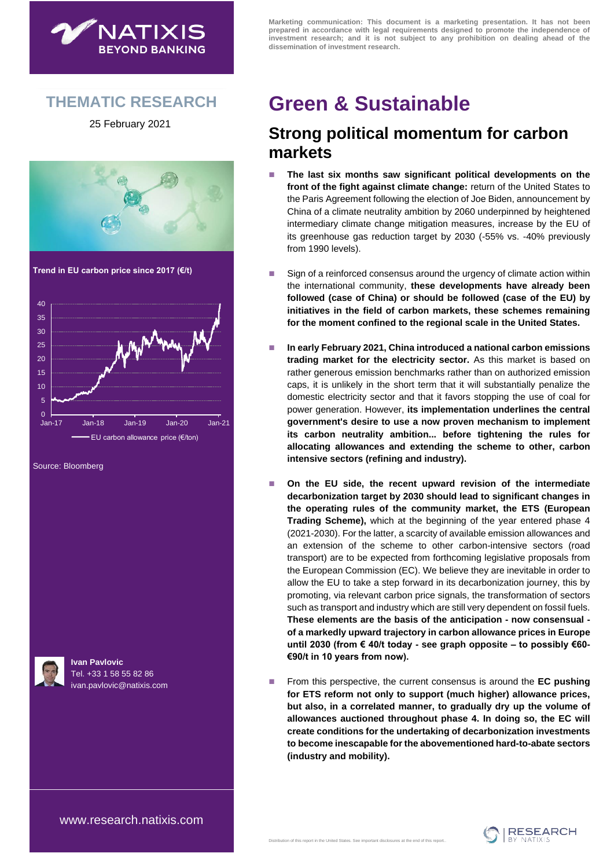

**Marketing communication: This document is a marketing presentation. It has not been prepared in accordance with legal requirements designed to promote the independence of investment research; and it is not subject to any prohibition on dealing ahead of the dissemination of investment research.**

## **THEMATIC RESEARCH**

25 February 2021



Source: Bloomberg



**Ivan Pavlovic** Tel. +33 1 58 55 82 86 [ivan.pavlovic@natixis.com](http://mailto:ivan.pavlovic@natixis.com)

# **Green & Sustainable**

## **Strong political momentum for carbon markets**

- ◼ **The last six months saw significant political developments on the front of the fight against climate change:** return of the United States to the Paris Agreement following the election of Joe Biden, announcement by China of a climate neutrality ambition by 2060 underpinned by heightened intermediary climate change mitigation measures, increase by the EU of its greenhouse gas reduction target by 2030 (-55% vs. -40% previously from 1990 levels).
- Sign of a reinforced consensus around the urgency of climate action within the international community, **these developments have already been followed (case of China) or should be followed (case of the EU) by initiatives in the field of carbon markets, these schemes remaining for the moment confined to the regional scale in the United States.**
- ◼ **In early February 2021, China introduced a national carbon emissions trading market for the electricity sector.** As this market is based on rather generous emission benchmarks rather than on authorized emission caps, it is unlikely in the short term that it will substantially penalize the domestic electricity sector and that it favors stopping the use of coal for power generation. However, **its implementation underlines the central government's desire to use a now proven mechanism to implement its carbon neutrality ambition... before tightening the rules for allocating allowances and extending the scheme to other, carbon intensive sectors (refining and industry).**
- ◼ **On the EU side, the recent upward revision of the intermediate decarbonization target by 2030 should lead to significant changes in the operating rules of the community market, the ETS (European Trading Scheme),** which at the beginning of the year entered phase 4 (2021-2030). For the latter, a scarcity of available emission allowances and an extension of the scheme to other carbon-intensive sectors (road transport) are to be expected from forthcoming legislative proposals from the European Commission (EC). We believe they are inevitable in order to allow the EU to take a step forward in its decarbonization journey, this by promoting, via relevant carbon price signals, the transformation of sectors such as transport and industry which are still very dependent on fossil fuels. **These elements are the basis of the anticipation - now consensual of a markedly upward trajectory in carbon allowance prices in Europe until 2030 (from € 40/t today - see graph opposite – to possibly €60- €90/t in 10 years from now).**
- ◼ From this perspective, the current consensus is around the **EC pushing for ETS reform not only to support (much higher) allowance prices, but also, in a correlated manner, to gradually dry up the volume of allowances auctioned throughout phase 4. In doing so, the EC will create conditions for the undertaking of decarbonization investments to become inescapable for the abovementioned hard-to-abate sectors (industry and mobility).**

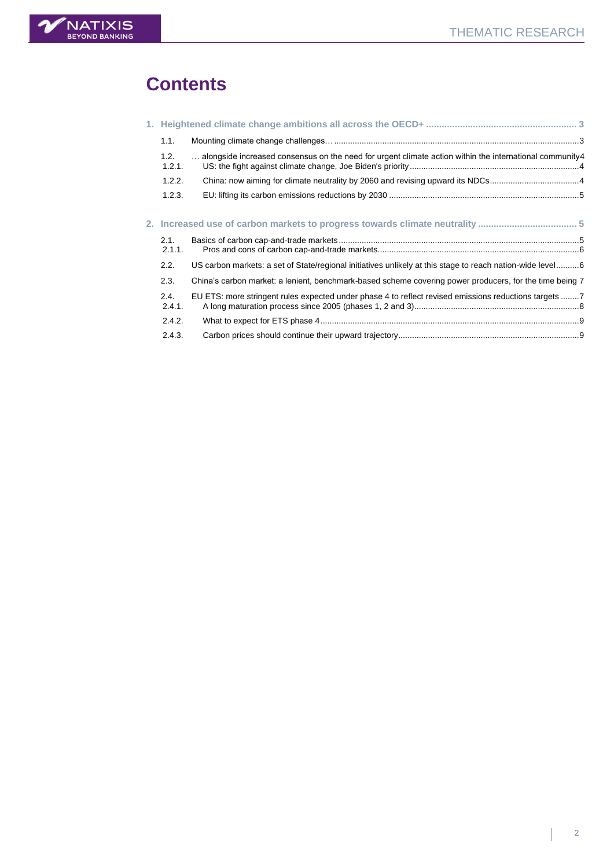

# **Contents**

| 1.1.           |                                                                                                           |  |  |  |
|----------------|-----------------------------------------------------------------------------------------------------------|--|--|--|
| 1.2.<br>1.2.1. | alongside increased consensus on the need for urgent climate action within the international community4   |  |  |  |
| 1.2.2.         |                                                                                                           |  |  |  |
| 1.2.3.         |                                                                                                           |  |  |  |
|                | 2. Increased use of carbon markets to progress towards climate neutrality 5                               |  |  |  |
| 2.1.<br>2.1.1. |                                                                                                           |  |  |  |
| 2.2.           | US carbon markets: a set of State/regional initiatives unlikely at this stage to reach nation-wide level6 |  |  |  |
| 2.3.           | China's carbon market: a lenient, benchmark-based scheme covering power producers, for the time being 7   |  |  |  |
| 2.4.<br>2.4.1. | EU ETS: more stringent rules expected under phase 4 to reflect revised emissions reductions targets  7    |  |  |  |
| 2.4.2.         |                                                                                                           |  |  |  |
| 2.4.3.         |                                                                                                           |  |  |  |
|                |                                                                                                           |  |  |  |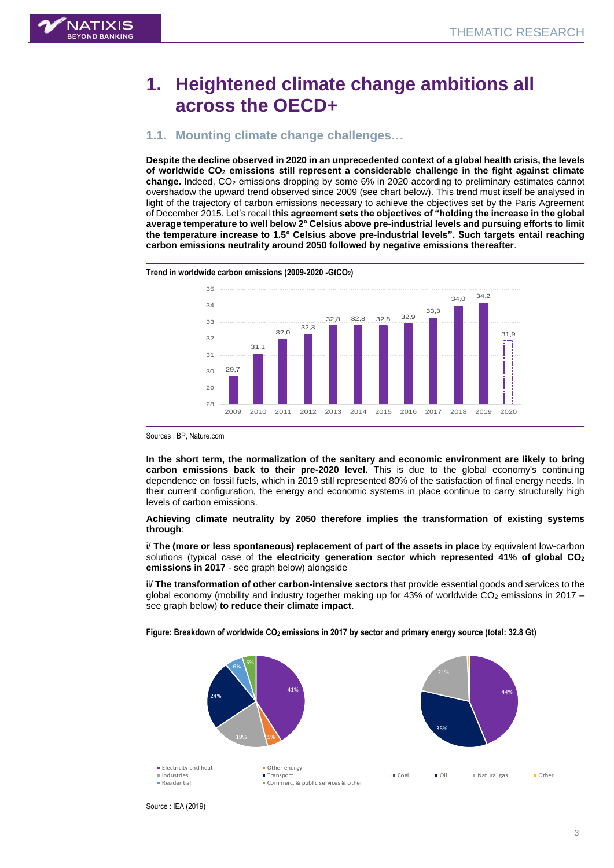

# **1. Heightened climate change ambitions all across the OECD+**

## **1.1. Mounting climate change challenges…**

**Despite the decline observed in 2020 in an unprecedented context of a global health crisis, the levels of worldwide CO<sup>2</sup> emissions still represent a considerable challenge in the fight against climate change.** Indeed, CO<sup>2</sup> emissions dropping by some 6% in 2020 according to preliminary estimates cannot overshadow the upward trend observed since 2009 (see chart below). This trend must itself be analysed in light of the trajectory of carbon emissions necessary to achieve the objectives set by the Paris Agreement of December 2015. Let's recall **this agreement sets the objectives of "holding the increase in the global average temperature to well below 2° Celsius above pre-industrial levels and pursuing efforts to limit the temperature increase to 1.5° Celsius above pre-industrial levels". Such targets entail reaching carbon emissions neutrality around 2050 followed by negative emissions thereafter**.



**Trend in worldwide carbon emissions (2009-2020 -GtCO2)**

Sources : BP, Nature.com

**In the short term, the normalization of the sanitary and economic environment are likely to bring carbon emissions back to their pre-2020 level.** This is due to the global economy's continuing dependence on fossil fuels, which in 2019 still represented 80% of the satisfaction of final energy needs. In their current configuration, the energy and economic systems in place continue to carry structurally high levels of carbon emissions.

## **Achieving climate neutrality by 2050 therefore implies the transformation of existing systems through**:

i/ **The (more or less spontaneous) replacement of part of the assets in place** by equivalent low-carbon solutions (typical case of **the electricity generation sector which represented 41% of global CO<sup>2</sup> emissions in 2017** - see graph below) alongside

ii/ **The transformation of other carbon-intensive sectors** that provide essential goods and services to the global economy (mobility and industry together making up for 43% of worldwide CO<sub>2</sub> emissions in 2017 – see graph below) **to reduce their climate impact**.



**Figure: Breakdown of worldwide CO<sup>2</sup> emissions in 2017 by sector and primary energy source (total: 32.8 Gt)**

Source : IEA (2019)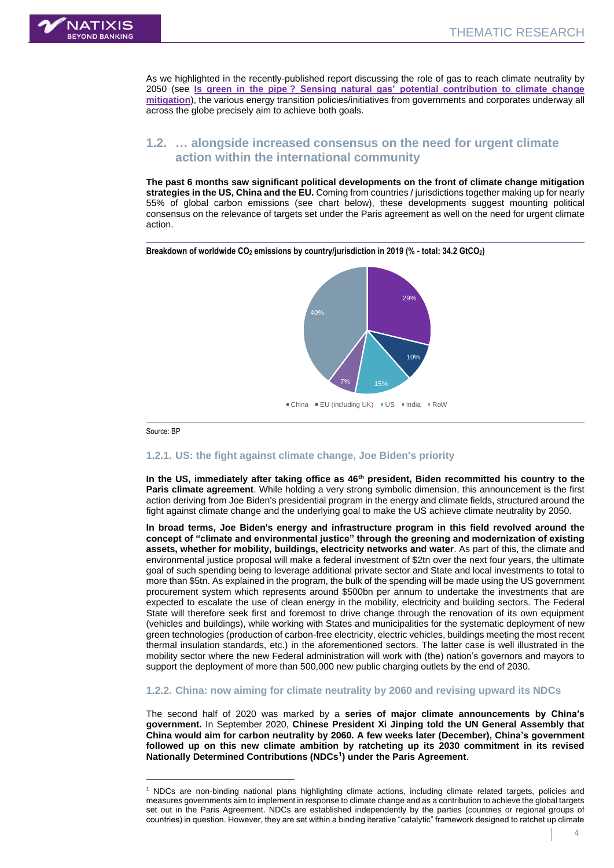

As we highlighted in the recently-published report discussing the role of gas to reach climate neutrality by 2050 (see **Is green in the pipe [? Sensing natural gas' potential contribution to climate change](https://gsh.cib.natixis.com/our-center-of-expertise/articles/what-role-for-natural-gas-in-the-transition-towards-a-low-carbon-economy)  [mitigation](https://gsh.cib.natixis.com/our-center-of-expertise/articles/what-role-for-natural-gas-in-the-transition-towards-a-low-carbon-economy)**), the various energy transition policies/initiatives from governments and corporates underway all across the globe precisely aim to achieve both goals.

## **1.2. … alongside increased consensus on the need for urgent climate action within the international community**

**The past 6 months saw significant political developments on the front of climate change mitigation strategies in the US, China and the EU.** Coming from countries / jurisdictions together making up for nearly 55% of global carbon emissions (see chart below), these developments suggest mounting political consensus on the relevance of targets set under the Paris agreement as well on the need for urgent climate action.





Source: BP

## **1.2.1. US: the fight against climate change, Joe Biden's priority**

**In the US, immediately after taking office as 46th president, Biden recommitted his country to the Paris climate agreement**. While holding a very strong symbolic dimension, this announcement is the first action deriving from Joe Biden's presidential program in the energy and climate fields, structured around the fight against climate change and the underlying goal to make the US achieve climate neutrality by 2050.

**In broad terms, Joe Biden's energy and infrastructure program in this field revolved around the concept of "climate and environmental justice" through the greening and modernization of existing assets, whether for mobility, buildings, electricity networks and water**. As part of this, the climate and environmental justice proposal will make a federal investment of \$2tn over the next four years, the ultimate goal of such spending being to leverage additional private sector and State and local investments to total to more than \$5tn. As explained in the program, the bulk of the spending will be made using the US government procurement system which represents around \$500bn per annum to undertake the investments that are expected to escalate the use of clean energy in the mobility, electricity and building sectors. The Federal State will therefore seek first and foremost to drive change through the renovation of its own equipment (vehicles and buildings), while working with States and municipalities for the systematic deployment of new green technologies (production of carbon-free electricity, electric vehicles, buildings meeting the most recent thermal insulation standards, etc.) in the aforementioned sectors. The latter case is well illustrated in the mobility sector where the new Federal administration will work with (the) nation's governors and mayors to support the deployment of more than 500,000 new public charging outlets by the end of 2030.

## **1.2.2. China: now aiming for climate neutrality by 2060 and revising upward its NDCs**

The second half of 2020 was marked by a **series of major climate announcements by China's government.** In September 2020, **Chinese President Xi Jinping told the UN General Assembly that China would aim for carbon neutrality by 2060. A few weeks later (December), China's government followed up on this new climate ambition by ratcheting up its 2030 commitment in its revised Nationally Determined Contributions (NDCs<sup>1</sup> ) under the Paris Agreement**.

<sup>1</sup> NDCs are non-binding national plans highlighting climate actions, including climate related targets, policies and measures governments aim to implement in response to climate change and as a contribution to achieve the global targets set out in the Paris Agreement. NDCs are established independently by the parties (countries or regional groups of countries) in question. However, they are set within a binding iterative "catalytic" framework designed to ratchet up climate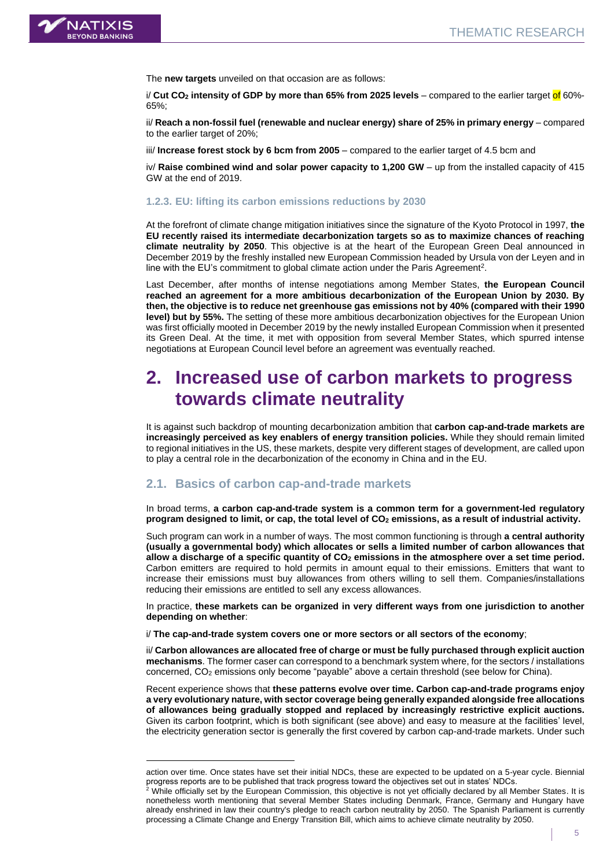

The **new targets** unveiled on that occasion are as follows:

i/ **Cut CO<sub>2</sub>** intensity of GDP by more than 65% from 2025 levels – compared to the earlier target of 60%-65%;

ii/ **Reach a non-fossil fuel (renewable and nuclear energy) share of 25% in primary energy** – compared to the earlier target of 20%;

iii/ **Increase forest stock by 6 bcm from 2005** – compared to the earlier target of 4.5 bcm and

iv/ **Raise combined wind and solar power capacity to 1,200 GW** – up from the installed capacity of 415 GW at the end of 2019.

#### **1.2.3. EU: lifting its carbon emissions reductions by 2030**

At the forefront of climate change mitigation initiatives since the signature of the Kyoto Protocol in 1997, **the EU recently raised its intermediate decarbonization targets so as to maximize chances of reaching climate neutrality by 2050**. This objective is at the heart of the European Green Deal announced in December 2019 by the freshly installed new European Commission headed by Ursula von der Leyen and in line with the EU's commitment to global climate action under the Paris Agreement<sup>2</sup>.

Last December, after months of intense negotiations among Member States, **the European Council reached an agreement for a more ambitious decarbonization of the European Union by 2030. By then, the objective is to reduce net greenhouse gas emissions not by 40% (compared with their 1990 level) but by 55%.** The setting of these more ambitious decarbonization objectives for the European Union was first officially mooted in December 2019 by the newly installed European Commission when it presented its Green Deal. At the time, it met with opposition from several Member States, which spurred intense negotiations at European Council level before an agreement was eventually reached.

## **2. Increased use of carbon markets to progress towards climate neutrality**

It is against such backdrop of mounting decarbonization ambition that **carbon cap-and-trade markets are increasingly perceived as key enablers of energy transition policies.** While they should remain limited to regional initiatives in the US, these markets, despite very different stages of development, are called upon to play a central role in the decarbonization of the economy in China and in the EU.

## **2.1. Basics of carbon cap-and-trade markets**

In broad terms, **a carbon cap-and-trade system is a common term for a government-led regulatory program designed to limit, or cap, the total level of CO<sup>2</sup> emissions, as a result of industrial activity.** 

Such program can work in a number of ways. The most common functioning is through **a central authority (usually a governmental body) which allocates or sells a limited number of carbon allowances that allow a discharge of a specific quantity of CO<sup>2</sup> emissions in the atmosphere over a set time period.**  Carbon emitters are required to hold permits in amount equal to their emissions. Emitters that want to increase their emissions must buy allowances from others willing to sell them. Companies/installations reducing their emissions are entitled to sell any excess allowances.

In practice, **these markets can be organized in very different ways from one jurisdiction to another depending on whether**:

i/ **The cap-and-trade system covers one or more sectors or all sectors of the economy**;

ii/ **Carbon allowances are allocated free of charge or must be fully purchased through explicit auction mechanisms**. The former caser can correspond to a benchmark system where, for the sectors / installations concerned, CO<sup>2</sup> emissions only become "payable" above a certain threshold (see below for China).

Recent experience shows that **these patterns evolve over time. Carbon cap-and-trade programs enjoy a very evolutionary nature, with sector coverage being generally expanded alongside free allocations of allowances being gradually stopped and replaced by increasingly restrictive explicit auctions.**  Given its carbon footprint, which is both significant (see above) and easy to measure at the facilities' level, the electricity generation sector is generally the first covered by carbon cap-and-trade markets. Under such

action over time. Once states have set their initial NDCs, these are expected to be updated on a 5-year cycle. Biennial progress reports are to be published that track progress toward the objectives set out in states' NDCs.

 $2$  While officially set by the European Commission, this objective is not yet officially declared by all Member States. It is nonetheless worth mentioning that several Member States including Denmark, France, Germany and Hungary have already enshrined in law their country's pledge to reach carbon neutrality by 2050. The Spanish Parliament is currently processing a Climate Change and Energy Transition Bill, which aims to achieve climate neutrality by 2050.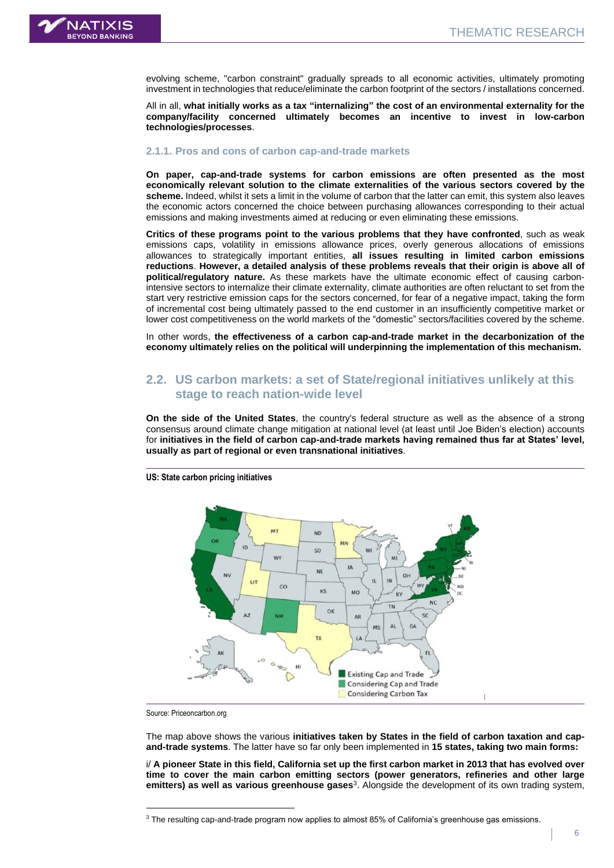

evolving scheme, "carbon constraint" gradually spreads to all economic activities, ultimately promoting investment in technologies that reduce/eliminate the carbon footprint of the sectors / installations concerned.

All in all, **what initially works as a tax "internalizing" the cost of an environmental externality for the company/facility concerned ultimately becomes an incentive to invest in low-carbon technologies/processes**.

## **2.1.1. Pros and cons of carbon cap-and-trade markets**

**On paper, cap-and-trade systems for carbon emissions are often presented as the most economically relevant solution to the climate externalities of the various sectors covered by the scheme.** Indeed, whilst it sets a limit in the volume of carbon that the latter can emit, this system also leaves the economic actors concerned the choice between purchasing allowances corresponding to their actual emissions and making investments aimed at reducing or even eliminating these emissions.

**Critics of these programs point to the various problems that they have confronted**, such as weak emissions caps, volatility in emissions allowance prices, overly generous allocations of emissions allowances to strategically important entities, **all issues resulting in limited carbon emissions reductions**. **However, a detailed analysis of these problems reveals that their origin is above all of political/regulatory nature.** As these markets have the ultimate economic effect of causing carbonintensive sectors to internalize their climate externality, climate authorities are often reluctant to set from the start very restrictive emission caps for the sectors concerned, for fear of a negative impact, taking the form of incremental cost being ultimately passed to the end customer in an insufficiently competitive market or lower cost competitiveness on the world markets of the "domestic" sectors/facilities covered by the scheme.

In other words, **the effectiveness of a carbon cap-and-trade market in the decarbonization of the economy ultimately relies on the political will underpinning the implementation of this mechanism.**

## **2.2. US carbon markets: a set of State/regional initiatives unlikely at this stage to reach nation-wide level**

**On the side of the United States**, the country's federal structure as well as the absence of a strong consensus around climate change mitigation at national level (at least until Joe Biden's election) accounts for **initiatives in the field of carbon cap-and-trade markets having remained thus far at States' level, usually as part of regional or even transnational initiatives**.



**US: State carbon pricing initiatives**

Source: Priceoncarbon.org

The map above shows the various **initiatives taken by States in the field of carbon taxation and capand-trade systems**. The latter have so far only been implemented in **15 states, taking two main forms:**

i/ **A pioneer State in this field, California set up the first carbon market in 2013 that has evolved over time to cover the main carbon emitting sectors (power generators, refineries and other large emitters) as well as various greenhouse gases**<sup>3</sup> . Alongside the development of its own trading system,

<sup>3</sup> The resulting cap-and-trade program now applies to almost 85% of California's greenhouse gas emissions.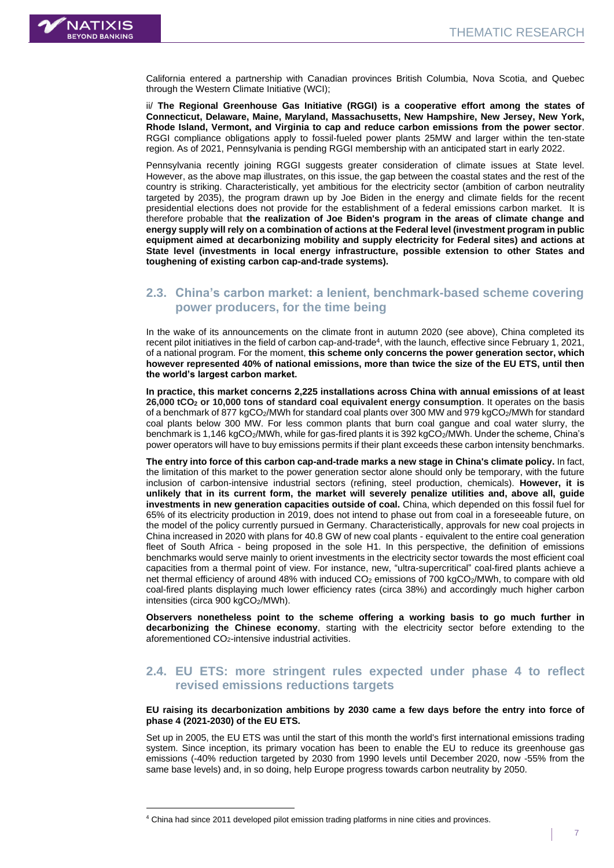

California entered a partnership with Canadian provinces British Columbia, Nova Scotia, and Quebec through the Western Climate Initiative (WCI);

ii/ **The Regional Greenhouse Gas Initiative (RGGI) is a cooperative effort among the states of Connecticut, Delaware, Maine, Maryland, Massachusetts, New Hampshire, New Jersey, New York, Rhode Island, Vermont, and Virginia to cap and reduce carbon emissions from the power sector**. RGGI compliance obligations apply to fossil-fueled power plants 25MW and larger within the ten-state region. As of 2021, Pennsylvania is pending RGGI membership with an anticipated start in early 2022.

Pennsylvania recently joining RGGI suggests greater consideration of climate issues at State level. However, as the above map illustrates, on this issue, the gap between the coastal states and the rest of the country is striking. Characteristically, yet ambitious for the electricity sector (ambition of carbon neutrality targeted by 2035), the program drawn up by Joe Biden in the energy and climate fields for the recent presidential elections does not provide for the establishment of a federal emissions carbon market. It is therefore probable that **the realization of Joe Biden's program in the areas of climate change and energy supply will rely on a combination of actions at the Federal level (investment program in public equipment aimed at decarbonizing mobility and supply electricity for Federal sites) and actions at State level (investments in local energy infrastructure, possible extension to other States and toughening of existing carbon cap-and-trade systems).**

## **2.3. China's carbon market: a lenient, benchmark-based scheme covering power producers, for the time being**

In the wake of its announcements on the climate front in autumn 2020 (see above), China completed its recent pilot initiatives in the field of carbon cap-and-trade<sup>4</sup>, with the launch, effective since February 1, 2021, of a national program. For the moment, **this scheme only concerns the power generation sector, which however represented 40% of national emissions, more than twice the size of the EU ETS, until then the world's largest carbon market.**

**In practice, this market concerns 2,225 installations across China with annual emissions of at least 26,000 tCO<sup>2</sup> or 10,000 tons of standard coal equivalent energy consumption**. It operates on the basis of a benchmark of 877 kgCO<sub>2</sub>/MWh for standard coal plants over 300 MW and 979 kgCO<sub>2</sub>/MWh for standard coal plants below 300 MW. For less common plants that burn coal gangue and coal water slurry, the benchmark is 1,146 kgCO<sub>2</sub>/MWh, while for gas-fired plants it is 392 kgCO<sub>2</sub>/MWh. Under the scheme, China's power operators will have to buy emissions permits if their plant exceeds these carbon intensity benchmarks.

**The entry into force of this carbon cap-and-trade marks a new stage in China's climate policy.** In fact, the limitation of this market to the power generation sector alone should only be temporary, with the future inclusion of carbon-intensive industrial sectors (refining, steel production, chemicals). **However, it is unlikely that in its current form, the market will severely penalize utilities and, above all, guide investments in new generation capacities outside of coal.** China, which depended on this fossil fuel for 65% of its electricity production in 2019, does not intend to phase out from coal in a foreseeable future, on the model of the policy currently pursued in Germany. Characteristically, approvals for new coal projects in China increased in 2020 with plans for 40.8 GW of new coal plants - equivalent to the entire coal generation fleet of South Africa - being proposed in the sole H1. In this perspective, the definition of emissions benchmarks would serve mainly to orient investments in the electricity sector towards the most efficient coal capacities from a thermal point of view. For instance, new, "ultra-supercritical" coal-fired plants achieve a net thermal efficiency of around 48% with induced CO<sub>2</sub> emissions of 700 kgCO<sub>2</sub>/MWh, to compare with old coal-fired plants displaying much lower efficiency rates (circa 38%) and accordingly much higher carbon intensities (circa 900 kgCO2/MWh).

**Observers nonetheless point to the scheme offering a working basis to go much further in decarbonizing the Chinese economy**, starting with the electricity sector before extending to the aforementioned CO2-intensive industrial activities.

## **2.4. EU ETS: more stringent rules expected under phase 4 to reflect revised emissions reductions targets**

### **EU raising its decarbonization ambitions by 2030 came a few days before the entry into force of phase 4 (2021-2030) of the EU ETS.**

Set up in 2005, the EU ETS was until the start of this month the world's first international emissions trading system. Since inception, its primary vocation has been to enable the EU to reduce its greenhouse gas emissions (-40% reduction targeted by 2030 from 1990 levels until December 2020, now -55% from the same base levels) and, in so doing, help Europe progress towards carbon neutrality by 2050.

7

<sup>4</sup> China had since 2011 developed pilot emission trading platforms in nine cities and provinces.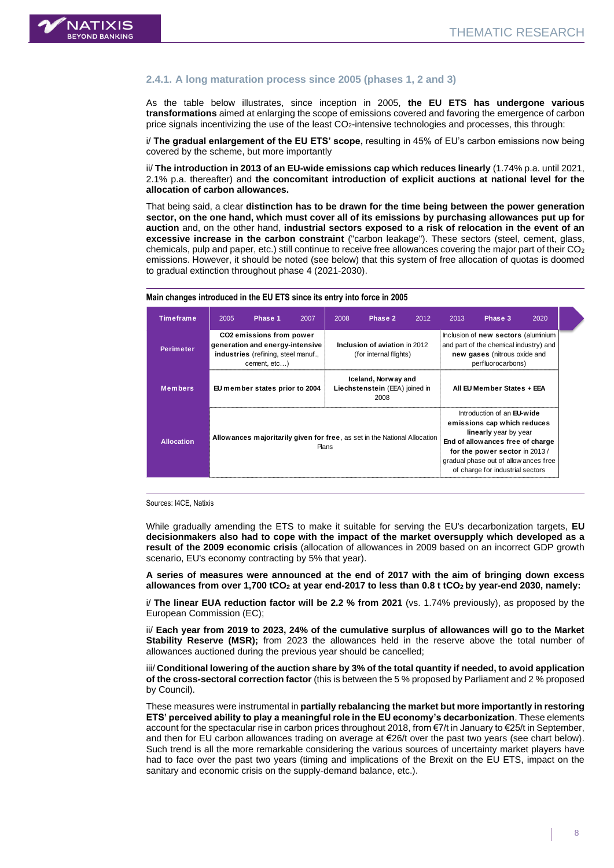

## **2.4.1. A long maturation process since 2005 (phases 1, 2 and 3)**

As the table below illustrates, since inception in 2005, **the EU ETS has undergone various transformations** aimed at enlarging the scope of emissions covered and favoring the emergence of carbon price signals incentivizing the use of the least CO<sub>2</sub>-intensive technologies and processes, this through:

i/ **The gradual enlargement of the EU ETS' scope,** resulting in 45% of EU's carbon emissions now being covered by the scheme, but more importantly

ii/ **The introduction in 2013 of an EU-wide emissions cap which reduces linearly** (1.74% p.a. until 2021, 2.1% p.a. thereafter) and **the concomitant introduction of explicit auctions at national level for the allocation of carbon allowances.**

That being said, a clear **distinction has to be drawn for the time being between the power generation sector, on the one hand, which must cover all of its emissions by purchasing allowances put up for auction** and, on the other hand, **industrial sectors exposed to a risk of relocation in the event of an excessive increase in the carbon constraint** ("carbon leakage"). These sectors (steel, cement, glass, chemicals, pulp and paper, etc.) still continue to receive free allowances covering the major part of their CO<sub>2</sub> emissions. However, it should be noted (see below) that this system of free allocation of quotas is doomed to gradual extinction throughout phase 4 (2021-2030).

| <b>Timeframe</b>  | 2005                                                                                                               | Phase 1 | 2007 | 2008                                                                                | Phase 2 | 2012 | 2013                                                                                                                                                                                                                                 | Phase 3 | 2020 |
|-------------------|--------------------------------------------------------------------------------------------------------------------|---------|------|-------------------------------------------------------------------------------------|---------|------|--------------------------------------------------------------------------------------------------------------------------------------------------------------------------------------------------------------------------------------|---------|------|
| <b>Perimeter</b>  | CO2 emissions from power<br>generation and energy-intensive<br>industries (refining, steel manuf.,<br>cement. etc) |         |      | Inclusion of aviation in 2012<br>(for internal flights)                             |         |      | Inclusion of new sectors (aluminium<br>and part of the chemical industry) and<br>new gases (nitrous oxide and<br>perfluorocarbons)                                                                                                   |         |      |
| <b>Members</b>    | EU member states prior to 2004                                                                                     |         |      | Iceland, Norway and<br>Liechstenstein (EEA) joined in<br>2008                       |         |      | All EU Member States + FFA                                                                                                                                                                                                           |         |      |
| <b>Allocation</b> |                                                                                                                    |         |      | Allow ances majoritarily given for free, as set in the National Allocation<br>Plans |         |      | Introduction of an EL-wide<br>emissions cap which reduces<br>linearly year by year<br>End of allowances free of charge<br>for the power sector in 2013/<br>gradual phase out of allow ances free<br>of charge for industrial sectors |         |      |

#### **Main changes introduced in the EU ETS since its entry into force in 2005**

Sources: I4CE, Natixis

While gradually amending the ETS to make it suitable for serving the EU's decarbonization targets, **EU decisionmakers also had to cope with the impact of the market oversupply which developed as a result of the 2009 economic crisis** (allocation of allowances in 2009 based on an incorrect GDP growth scenario, EU's economy contracting by 5% that year).

**A series of measures were announced at the end of 2017 with the aim of bringing down excess allowances from over 1,700 tCO<sup>2</sup> at year end-2017 to less than 0.8 t tCO<sup>2</sup> by year-end 2030, namely:**

i/ **The linear EUA reduction factor will be 2.2 % from 2021** (vs. 1.74% previously), as proposed by the European Commission (EC);

ii/ **Each year from 2019 to 2023, 24% of the cumulative surplus of allowances will go to the Market Stability Reserve (MSR);** from 2023 the allowances held in the reserve above the total number of allowances auctioned during the previous year should be cancelled;

iii/ **Conditional lowering of the auction share by 3% of the total quantity if needed, to avoid application of the cross-sectoral correction factor** (this is between the 5 % proposed by Parliament and 2 % proposed by Council).

These measures were instrumental in **partially rebalancing the market but more importantly in restoring ETS' perceived ability to play a meaningful role in the EU economy's decarbonization**. These elements account for the spectacular rise in carbon prices throughout 2018, from €7/t in January to €25/t in September, and then for EU carbon allowances trading on average at €26/t over the past two years (see chart below). Such trend is all the more remarkable considering the various sources of uncertainty market players have had to face over the past two years (timing and implications of the Brexit on the EU ETS, impact on the sanitary and economic crisis on the supply-demand balance, etc.).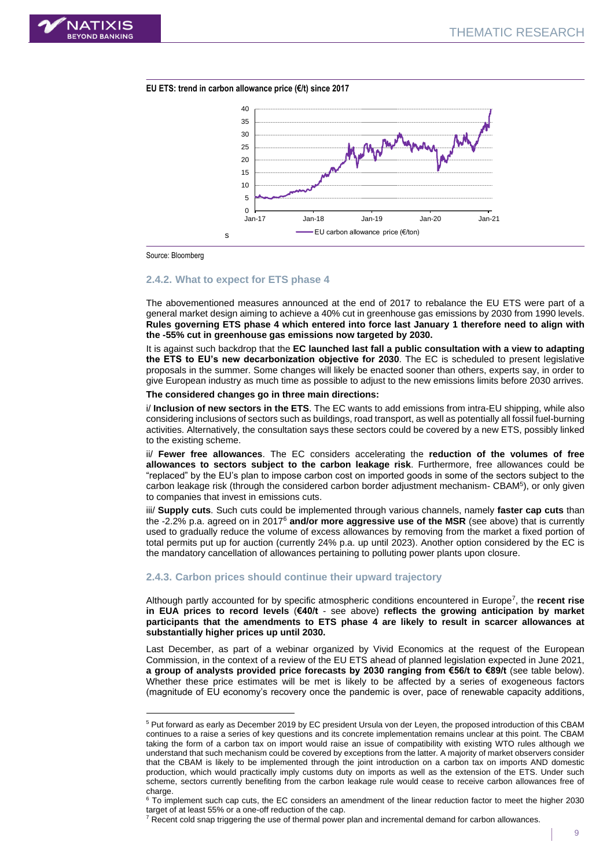

#### **EU ETS: trend in carbon allowance price (€/t) since 2017**



Source: Bloomberg

### **2.4.2. What to expect for ETS phase 4**

The abovementioned measures announced at the end of 2017 to rebalance the EU ETS were part of a general market design aiming to achieve a 40% cut in greenhouse gas emissions by 2030 from 1990 levels. **Rules governing ETS phase 4 which entered into force last January 1 therefore need to align with the -55% cut in greenhouse gas emissions now targeted by 2030.**

It is against such backdrop that the **EC launched last fall a public consultation with a view to adapting the ETS to EU's new decarbonization objective for 2030**. The EC is scheduled to present legislative proposals in the summer. Some changes will likely be enacted sooner than others, experts say, in order to give European industry as much time as possible to adjust to the new emissions limits before 2030 arrives.

### **The considered changes go in three main directions:**

i/ **Inclusion of new sectors in the ETS**. The EC wants to add emissions from intra-EU shipping, while also considering inclusions of sectors such as buildings, road transport, as well as potentially all fossil fuel-burning activities. Alternatively, the consultation says these sectors could be covered by a new ETS, possibly linked to the existing scheme.

ii/ **Fewer free allowances**. The EC considers accelerating the **reduction of the volumes of free allowances to sectors subject to the carbon leakage risk**. Furthermore, free allowances could be "replaced" by the EU's plan to impose carbon cost on imported goods in some of the sectors subject to the carbon leakage risk (through the considered carbon border adjustment mechanism- CBAM<sup>5</sup>), or only given to companies that invest in emissions cuts.

iii/ **Supply cuts**. Such cuts could be implemented through various channels, namely **faster cap cuts** than the -2.2% p.a. agreed on in 2017<sup>6</sup> **and/or more aggressive use of the MSR** (see above) that is currently used to gradually reduce the volume of excess allowances by removing from the market a fixed portion of total permits put up for auction (currently 24% p.a. up until 2023). Another option considered by the EC is the mandatory cancellation of allowances pertaining to polluting power plants upon closure.

### **2.4.3. Carbon prices should continue their upward trajectory**

Although partly accounted for by specific atmospheric conditions encountered in Europe<sup>7</sup>, the recent rise **in EUA prices to record levels** (**€40/t** - see above) **reflects the growing anticipation by market participants that the amendments to ETS phase 4 are likely to result in scarcer allowances at substantially higher prices up until 2030.**

Last December, as part of a webinar organized by Vivid Economics at the request of the European Commission, in the context of a review of the EU ETS ahead of planned legislation expected in June 2021, **a group of analysts provided price forecasts by 2030 ranging from €56/t to €89/t** (see table below). Whether these price estimates will be met is likely to be affected by a series of exogeneous factors (magnitude of EU economy's recovery once the pandemic is over, pace of renewable capacity additions,

<sup>5</sup> Put forward as early as December 2019 by EC president Ursula von der Leyen, the proposed introduction of this CBAM continues to a raise a series of key questions and its concrete implementation remains unclear at this point. The CBAM taking the form of a carbon tax on import would raise an issue of compatibility with existing WTO rules although we understand that such mechanism could be covered by exceptions from the latter. A majority of market observers consider that the CBAM is likely to be implemented through the joint introduction on a carbon tax on imports AND domestic production, which would practically imply customs duty on imports as well as the extension of the ETS. Under such scheme, sectors currently benefiting from the carbon leakage rule would cease to receive carbon allowances free of charge.

<sup>6</sup> To implement such cap cuts, the EC considers an amendment of the linear reduction factor to meet the higher 2030 target of at least 55% or a one-off reduction of the cap.

 $7$  Recent cold snap triggering the use of thermal power plan and incremental demand for carbon allowances.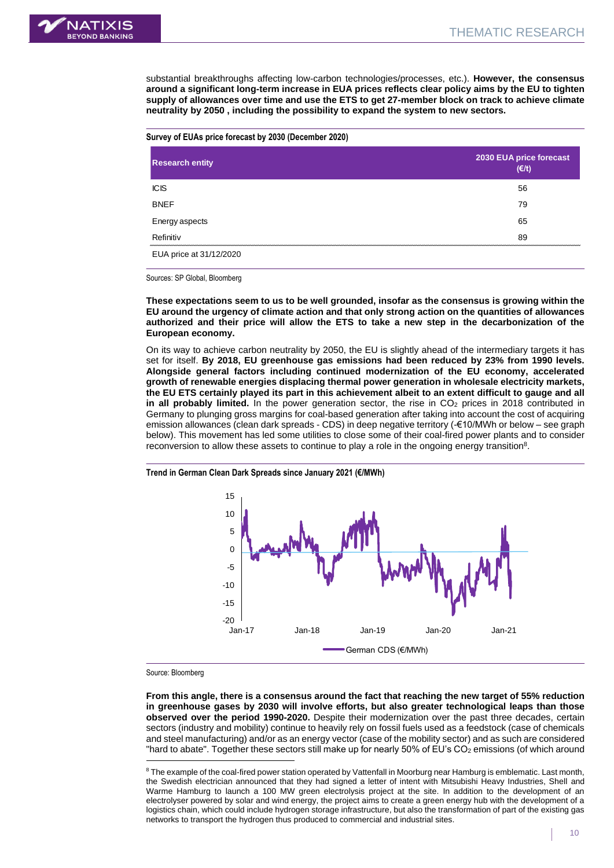

substantial breakthroughs affecting low-carbon technologies/processes, etc.). **However, the consensus around a significant long-term increase in EUA prices reflects clear policy aims by the EU to tighten supply of allowances over time and use the ETS to get 27-member block on track to achieve climate neutrality by 2050 , including the possibility to expand the system to new sectors.**

| <b>Research entity</b>  | 2030 EUA price forecast<br>(E/t) |
|-------------------------|----------------------------------|
| <b>ICIS</b>             | 56                               |
| <b>BNEF</b>             | 79                               |
| Energy aspects          | 65                               |
| Refinitiv               | 89                               |
| EUA price at 31/12/2020 |                                  |

Sources: SP Global, Bloomberg

**These expectations seem to us to be well grounded, insofar as the consensus is growing within the EU around the urgency of climate action and that only strong action on the quantities of allowances authorized and their price will allow the ETS to take a new step in the decarbonization of the European economy.**

On its way to achieve carbon neutrality by 2050, the EU is slightly ahead of the intermediary targets it has set for itself. **By 2018, EU greenhouse gas emissions had been reduced by 23% from 1990 levels. Alongside general factors including continued modernization of the EU economy, accelerated growth of renewable energies displacing thermal power generation in wholesale electricity markets, the EU ETS certainly played its part in this achievement albeit to an extent difficult to gauge and all**  in all probably limited. In the power generation sector, the rise in CO<sub>2</sub> prices in 2018 contributed in Germany to plunging gross margins for coal-based generation after taking into account the cost of acquiring emission allowances (clean dark spreads - CDS) in deep negative territory (-€10/MWh or below – see graph below). This movement has led some utilities to close some of their coal-fired power plants and to consider reconversion to allow these assets to continue to play a role in the ongoing energy transition<sup>8</sup>.



Source: Bloomberg

**From this angle, there is a consensus around the fact that reaching the new target of 55% reduction in greenhouse gases by 2030 will involve efforts, but also greater technological leaps than those observed over the period 1990-2020.** Despite their modernization over the past three decades, certain sectors (industry and mobility) continue to heavily rely on fossil fuels used as a feedstock (case of chemicals and steel manufacturing) and/or as an energy vector (case of the mobility sector) and as such are considered "hard to abate". Together these sectors still make up for nearly 50% of EU's  $CO<sub>2</sub>$  emissions (of which around

<sup>&</sup>lt;sup>8</sup> The example of the coal-fired power station operated by Vattenfall in Moorburg near Hamburg is emblematic. Last month, the Swedish electrician announced that they had signed a letter of intent with Mitsubishi Heavy Industries, Shell and Warme Hamburg to launch a 100 MW green electrolysis project at the site. In addition to the development of an electrolyser powered by solar and wind energy, the project aims to create a green energy hub with the development of a logistics chain, which could include hydrogen storage infrastructure, but also the transformation of part of the existing gas networks to transport the hydrogen thus produced to commercial and industrial sites.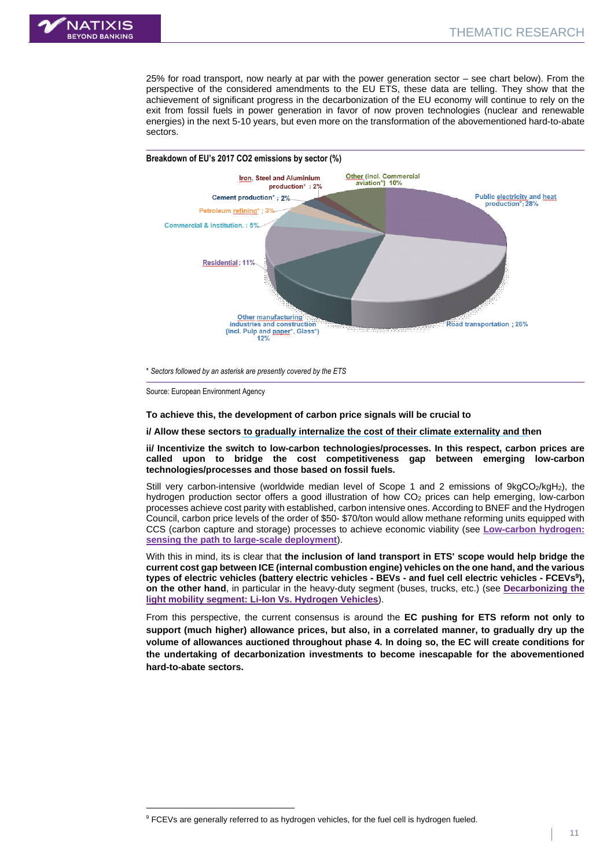

25% for road transport, now nearly at par with the power generation sector – see chart below). From the perspective of the considered amendments to the EU ETS, these data are telling. They show that the achievement of significant progress in the decarbonization of the EU economy will continue to rely on the exit from fossil fuels in power generation in favor of now proven technologies (nuclear and renewable energies) in the next 5-10 years, but even more on the transformation of the abovementioned hard-to-abate sectors.



\* *Sectors followed by an asterisk are presently covered by the ETS*

Source: European Environment Agency

### **To achieve this, the development of carbon price signals will be crucial to**

**i/ Allow these sectors to gradually internalize the cost of their climate externality and then** 

**ii/ Incentivize the switch to low-carbon technologies/processes. In this respect, carbon prices are called upon to bridge the cost competitiveness gap between emerging low-carbon technologies/processes and those based on fossil fuels.**

Still very carbon-intensive (worldwide median level of Scope 1 and 2 emissions of 9kgCO2/kgH2), the hydrogen production sector offers a good illustration of how CO<sub>2</sub> prices can help emerging, low-carbon processes achieve cost parity with established, carbon intensive ones. According to BNEF and the Hydrogen Council, carbon price levels of the order of \$50- \$70/ton would allow methane reforming units equipped with CCS (carbon capture and storage) processes to achieve economic viability (see **[Low-carbon](https://gsh.cib.natixis.com/our-center-of-expertise/articles/low-carbon-hydrogen-sensing-the-path-to-large-scale-deployment) hydrogen: sensing the path to large-scale [deployment](https://gsh.cib.natixis.com/our-center-of-expertise/articles/low-carbon-hydrogen-sensing-the-path-to-large-scale-deployment)**).

With this in mind, its is clear that **the inclusion of land transport in ETS' scope would help bridge the current cost gap between ICE (internal combustion engine) vehicles on the one hand, and the various types of electric vehicles (battery electric vehicles - BEVs - and fuel cell electric vehicles - FCEVs<sup>9</sup> ), on the other hand**, in particular in the heavy-duty segment (buses, trucks, etc.) (see **[Decarbonizing the](file:///C:/Users/tcuilliere/AppData/Local/Microsoft/Windows/INetCache/Content.Outlook/08L6NF1I/%25URLDOCUMENT%25)  [light mobility segment: Li-Ion Vs. Hydrogen Vehicles](file:///C:/Users/tcuilliere/AppData/Local/Microsoft/Windows/INetCache/Content.Outlook/08L6NF1I/%25URLDOCUMENT%25)**).

From this perspective, the current consensus is around the **EC pushing for ETS reform not only to support (much higher) allowance prices, but also, in a correlated manner, to gradually dry up the volume of allowances auctioned throughout phase 4. In doing so, the EC will create conditions for the undertaking of decarbonization investments to become inescapable for the abovementioned hard-to-abate sectors.**

<sup>&</sup>lt;sup>9</sup> FCEVs are generally referred to as hydrogen vehicles, for the fuel cell is hydrogen fueled.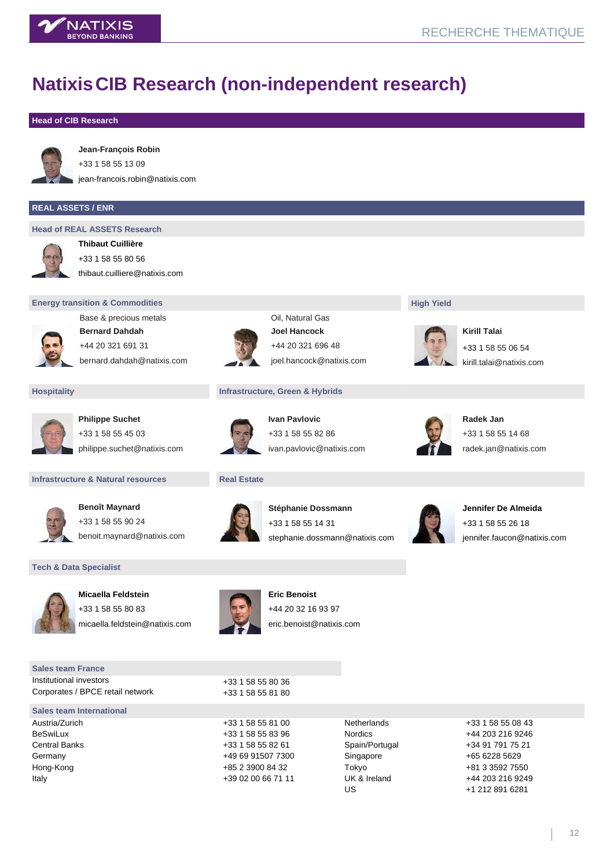

# **NatixisCIB Research (non-independent research)**

### **Head of CIB Research**



**Jean-François Robin** +33 1 58 55 13 09

[jean-francois.robin@natixis.com](mailto:jean-francois.robin@natixis.com)

## **REAL ASSETS / ENR Head of REAL ASSETS Research Thibaut Cuillière** +33 1 58 55 80 56 thibaut.cuilliere@natixis.com **Energy transition & Commodities <b>All and Strandfully Commodities High Yield** Base & precious metals **Base & precious metals C** and **C** and **C** and **C** and **C** and **C** and **C** and **C** and **C** and **C** and **C** and **C** and **C** and **C** and **C** and **C** and **C** and **C** and **C** and **C** and **C** and **C** an **Bernard Dahdah Joel Hancock Kirill Talai**  $+44\ 20\ 321\ 691\ 31$   $+44\ 20\ 321\ 696\ 48$   $+33\ 1\ 58\ 55\ 06\ 54$ [bernard.dahdah@natixis.com](mailto:bernard.dahdah@uk.natixis.com) joel.hancock@natixis.com [kirill.talai@natixis.com](mailto:kirill.talai@natixis.com) **Hospitality Infrastructure, Green & Hybrids Philippe Suchet Ivan Pavlovic Ivan Pavlovic Ivan Pavlovic Radek Jan**  $+33158554503$   $+33158558286$   $+33158558286$   $+33158551468$ philippe.suchet@natixis.com ivan.pavlovic@natixis.com radek.jan@natixis.com **Infrastructure & Natural resources Real Estate Benoît Maynard Stéphanie Dossmann Jennifer De Almeida** +33 1 58 55 90 24 +33 1 58 55 14 31 +33 1 58 55 26 18 [benoit.maynard@natixis.com](mailto:benoit.maynard@natixis.com) stephanie.dossmann@natixis.com jennifer.faucon@natixis.com **Tech & Data Specialist Micaella Feldstein Eric Benoist**  $+33$  1 58 55 80 83  $+44$  20 32 16 93 97 micaella.feldstein@natixis.com eric.benoist@natixis.com **Sales team France** Institutional investors +33 1 58 55 80 36 Corporates / BPCE retail network +33 1 58 55 81 80 **Sales team International** Austria/Zurich +33 1 58 55 08 43 +33 1 58 55 61 00 Netherlands +33 1 58 55 08 43 BeSwiLux **120 1246 +33 1 58 55 83 96** Nordics +44 203 216 9246 Central Banks +33 1 58 55 82 61 Spain/Portugal +34 91 791 75 21

Germany +49 69 91507 7300 Singapore +65 6228 5629 Hong-Kong +85 2 3900 84 32 Tokyo +81 3 3592 7550 Italy +39 02 00 66 71 11 UK & Ireland +44 203 216 9249

US +1 212 891 6281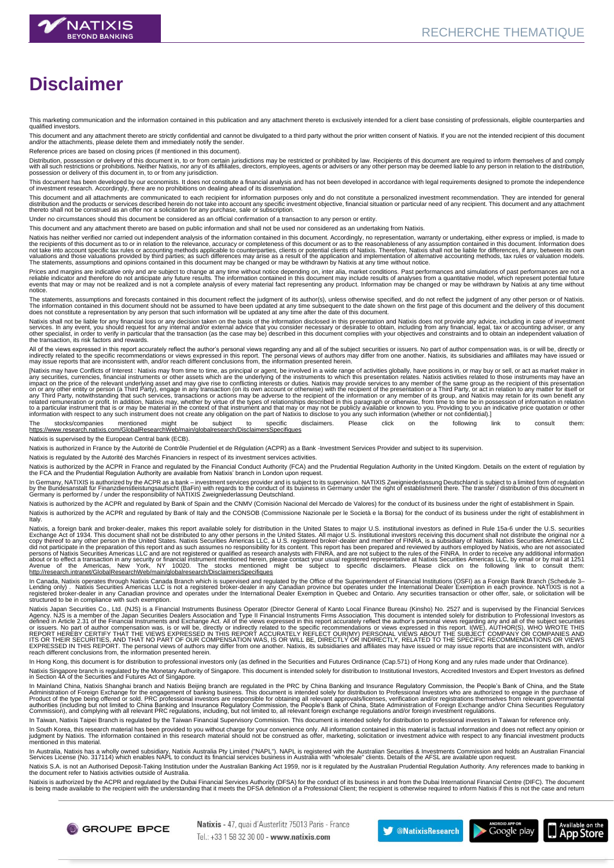

## **Disclaimer**

This marketing communication and the information contained in this publication and any attachment thereto is exclusively intended for a client base consisting of professionals, eligible counterparties and<br>qualified investo

This document and any attachment thereto are strictly confidential and cannot be divulgated to a third party without the prior written consent of Natixis. If you are not the intended recipient of this document<br>and/or the a

Reference prices are based on closing prices (if mentioned in this document).

Distribution, possession or delivery of this document in, to or from certain jurisdictions may be restricted or prohibited by law. Recipients of this document are required to inform themselves of and comply<br>with all such r

This document has been developed by our economists. It does not constitute a financial analysis and has not been developed in accordance with legal requirements designed to promote the independence<br>of investment research.

This document and all attachments are communicated to each recipient for information purposes only and do not constitute a personalized investment recommendation. They are intended for general<br>distribution and the products

Under no circumstances should this document be considered as an official confirmation of a transaction to any person or entity.

This document and any attachment thereto are based on public information and shall not be used nor considered as an undertaking from Natixis.

Natixis has neither verified nor carried out independent analysis of the information contained in this document. Accordingly, no representation, warranty or undertaking, either express of this document or as to the reasona

Prices and margins are indicative only and are subject to change at any time without notice depending on, inter alia, market conditions. Past performances and simulations of past performances are not a<br>reliable indicator a notice.

The statements, assumptions and forecasts contained in this document reflect the judgment of its author(s), unless otherwise specified, and do not reflect the judgment of any other person or of Natixis.<br>The information con

Natixis shall not be liable for any financial loss or any decision taken on the basis of the information disclosed in this presentation and Natixis does not provide any advice, including in case of investment<br>services. In the transaction, its risk factors and rewards.

All of the views expressed in this report accurately reflect the author's personal views regarding any and all of the subject securities or issuers. No part of author compensation was, is or will be, directly or<br>indirectly

(Natixis may have Conflicts of Interest : Natixis may from time to time, as principal or agent, be involved in a wide range of activities globally, have positions in, or may buy or sell, or act as market maker in any secur

The stocks/companies mentioned might be subject to specific disclaimers. Please click on the following link to consult them: <https://www.research.natixis.com/GlobalResearchWeb/main/globalresearch/DisclaimersSpecifiques>

Natixis is supervised by the European Central bank (ECB).

Natixis is authorized in France by the Autorité de Contrôle Prudentiel et de Régulation (ACPR) as a Bank -Investment Services Provider and subject to its supervision.

Natixis is regulated by the Autorité des Marchés Financiers in respect of its investment services activities.

Natixis is authorized by the ACPR in France and regulated by the Financial Conduct Authority (FCA) and the Prudential Regulation Authority in the United Kingdom. Details on the extent of regulation by<br>the FCA and the Prude

In Germany, NATIXIS is authorized by the ACPR as a bank – investment services provider and is subject to its supervision. NATIXIS Zweigniederlassung Deutschland is subject to a limited form of regulation<br>by the Bundesanst

Natixis is authorized by the ACPR and regulated by Bank of Spain and the CNMV (Comisión Nacional del Mercado de Valores) for the conduct of its business under the right of establishment in Spain. Natixis is authorized by the ACPR and regulated by Bank of Italy and the CONSOB (Commissione Nazionale per le Società e la Borsa) for the conduct of its business under the right of establishment in **Italy** 

Nativis, a foreign bank and broker-dealer, makes this report available solely for distribution in the Unidel States to major U.S. institutional investors as defined in Rule 15a-6 under the U.S. exercities Americas Mathia M <http://research.intranet/GlobalResearchWeb/main/globalresearch/DisclaimersSpecifiques>

In Canada, Natixis operates through Natixis Canada Branch which is supervised and regulated by the Office of the Superintendent of Financial Institutions (OSFI) as a Foreign Bank Branch (Schedule 3–<br>Lending only) . Natixis structured to be in compliance with such exemption.

Natixis Japan Securities Co., Ltd. (NJS) is a Financial Instruments Business Operator (Director General of Kanto Local Finance Bureau (Kinsho) No. 2527 and is supervised by the Financial Services<br>Agency. NJS is a member of

In Hong Kong, this document is for distribution to professional investors only (as defined in the Securities and Futures Ordinance (Cap.571) of Hong Kong and any rules made under that Ordinance).

Natixis Singapore branch is regulated by the Monetary Authority of Singapore. This document is intended solely for distribution to Institutional Investors, Accredited Investors and Expert Investors as defined<br>in Section 4A

In Mainland China, Natixis Shanghai branch and Natixis Beijing branch are regulated in the PRC by China Banking and Insurance Regulatory Commission, the People's Bank of China, and the State<br>Administration of Foreign Excha

In Taiwan, Natixis Taipei Branch is regulated by the Taiwan Financial Supervisory Commission. This document is intended solely for distribution to professional investors in Taiwan for reference only.

In South Korea, this research material has been provided to you without charge for your convenience only. All information contained in this material is factual information and does not reflect any opinion or<br>judgment by Na

In Australia, Natixis has a wholly owned subsidiary, Natixis Australia Pty Limited ("NAPL"). NAPL is registered with the Australian Securities & Investments Commission and holds an Australian Financial<br>Services License (No

Natixis S.A. is not an Authorised Deposit-Taking Institution under the Australian Banking Act 1959, nor is it regulated by the Australian Prudential Regulation Authority. Any references made to banking in<br>the document refe

Natixis is authorized by the ACPR and regulated by the Dubai Financial Services Authority (DFSA) for the conduct of its business in and from the Dubai International Financial Centre (DIFC). The document<br>is being made avail



Natixis - 47, quai d'Austerlitz 75013 Paris - France Tel:  $+33$  1.58.32.30.00 - www.natixis.com